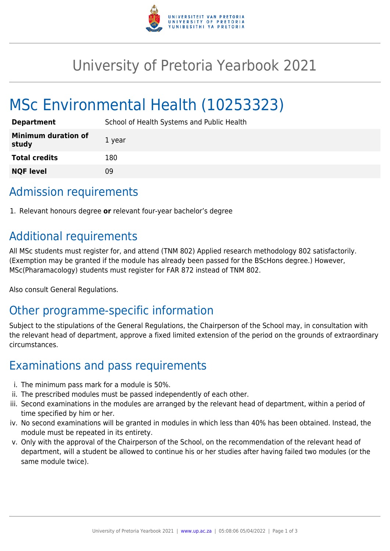

# University of Pretoria Yearbook 2021

# MSc Environmental Health (10253323)

| <b>Department</b>                   | School of Health Systems and Public Health |
|-------------------------------------|--------------------------------------------|
| <b>Minimum duration of</b><br>study | 1 year                                     |
| <b>Total credits</b>                | 180                                        |
| <b>NQF level</b>                    | 09                                         |

# Admission requirements

1. Relevant honours degree **or** relevant four-year bachelor's degree

# Additional requirements

All MSc students must register for, and attend (TNM 802) Applied research methodology 802 satisfactorily. (Exemption may be granted if the module has already been passed for the BScHons degree.) However, MSc(Pharamacology) students must register for FAR 872 instead of TNM 802.

Also consult General Regulations.

# Other programme-specific information

Subject to the stipulations of the General Regulations, the Chairperson of the School may, in consultation with the relevant head of department, approve a fixed limited extension of the period on the grounds of extraordinary circumstances.

# Examinations and pass requirements

- i. The minimum pass mark for a module is 50%.
- ii. The prescribed modules must be passed independently of each other.
- iii. Second examinations in the modules are arranged by the relevant head of department, within a period of time specified by him or her.
- iv. No second examinations will be granted in modules in which less than 40% has been obtained. Instead, the module must be repeated in its entirety.
- v. Only with the approval of the Chairperson of the School, on the recommendation of the relevant head of department, will a student be allowed to continue his or her studies after having failed two modules (or the same module twice).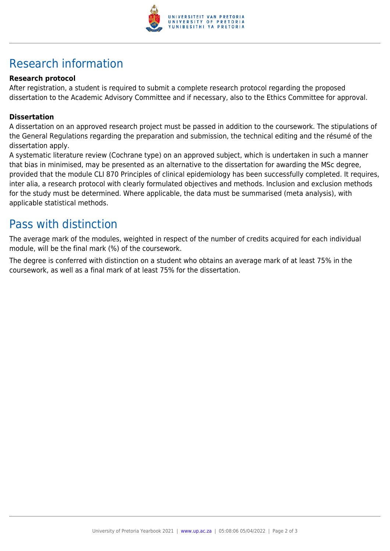

# Research information

#### **Research protocol**

After registration, a student is required to submit a complete research protocol regarding the proposed dissertation to the Academic Advisory Committee and if necessary, also to the Ethics Committee for approval.

#### **Dissertation**

A dissertation on an approved research project must be passed in addition to the coursework. The stipulations of the General Regulations regarding the preparation and submission, the technical editing and the résumé of the dissertation apply.

A systematic literature review (Cochrane type) on an approved subject, which is undertaken in such a manner that bias in minimised, may be presented as an alternative to the dissertation for awarding the MSc degree, provided that the module CLI 870 Principles of clinical epidemiology has been successfully completed. It requires, inter alia, a research protocol with clearly formulated objectives and methods. Inclusion and exclusion methods for the study must be determined. Where applicable, the data must be summarised (meta analysis), with applicable statistical methods.

### Pass with distinction

The average mark of the modules, weighted in respect of the number of credits acquired for each individual module, will be the final mark (%) of the coursework.

The degree is conferred with distinction on a student who obtains an average mark of at least 75% in the coursework, as well as a final mark of at least 75% for the dissertation.